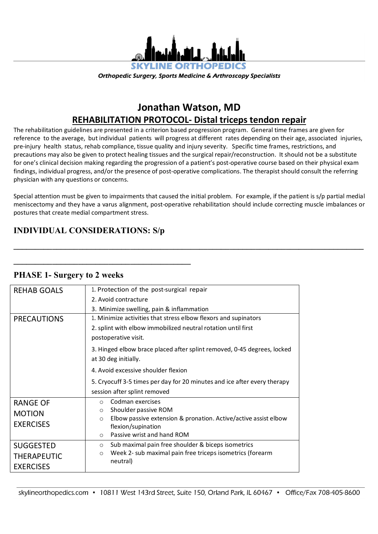

**Orthopedic Surgery, Sports Medicine & Arthroscopy Specialists** 

# **Jonathan Watson, MD REHABILITATION PROTOCOL- Distal triceps tendon repair**

The rehabilitation guidelines are presented in a criterion based progression program. General time frames are given for reference to the average, but individual patients will progress at different rates depending on their age, associated injuries, pre-injury health status, rehab compliance, tissue quality and injury severity. Specific time frames, restrictions, and precautions may also be given to protect healing tissues and the surgical repair/reconstruction. It should not be a substitute for one's clinical decision making regarding the progression of a patient's post-operative course based on their physical exam findings, individual progress, and/or the presence of post-operative complications. The therapist should consult the referring physician with any questions or concerns.

Special attention must be given to impairments that caused the initial problem. For example, if the patient is s/p partial medial meniscectomy and they have a varus alignment, post-operative rehabilitation should include correcting muscle imbalances or postures that create medial compartment stress.

**\_\_\_\_\_\_\_\_\_\_\_\_\_\_\_\_\_\_\_\_\_\_\_\_\_\_\_\_\_\_\_\_\_\_\_\_\_\_\_\_\_\_\_\_\_\_\_\_\_\_\_\_\_\_\_\_\_\_\_\_\_\_\_\_\_\_\_\_\_\_\_\_\_\_\_\_\_\_\_\_\_**

### **INDIVIDUAL CONSIDERATIONS: S/p**

**\_\_\_\_\_\_\_\_\_\_\_\_\_\_\_\_\_\_\_\_\_\_\_\_\_\_\_\_\_\_\_\_\_\_\_\_\_\_\_\_\_**

#### RFHAB GOALS  $\vert$  1. Protection of the post-surgical repair 2. Avoid contracture 3. Minimize swelling, pain & inflammation **PRECAUTIONS** 1. Minimize activities that stress elbow flexors and supinators 2. splint with elbow immobilized neutral rotation until first postoperative visit. 3. Hinged elbow brace placed after splint removed, 0-45 degrees, locked at 30 deg initially. 4. Avoid excessive shoulder flexion 5. Cryocuff 3-5 times per day for 20 minutes and ice after every therapy session after splint removed RANGE OF MOTION EXERCISES o Codman exercises o Shoulder passive ROM o Elbow passive extension & pronation. Active/active assist elbow flexion/supination o Passive wrist and hand ROM SUGGESTED THERAPEUTIC **EXERCISES** o Sub maximal pain free shoulder & biceps isometrics o Week 2- sub maximal pain free triceps isometrics (forearm neutral)

#### **PHASE 1- Surgery to 2 weeks**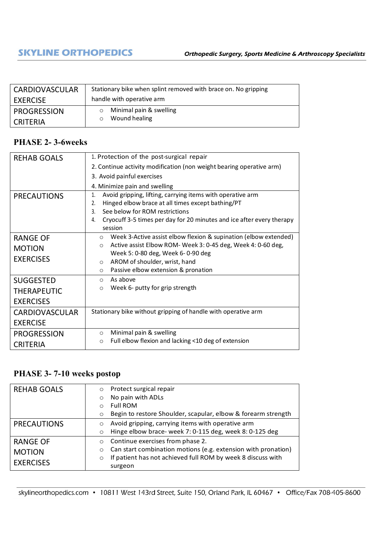| <b>CARDIOVASCULAR</b> | Stationary bike when splint removed with brace on. No gripping |
|-----------------------|----------------------------------------------------------------|
| EXERCISE              | handle with operative arm                                      |
| <b>PROGRESSION</b>    | Minimal pain & swelling<br>$\circ$                             |
| <b>CRITERIA</b>       | Wound healing<br>$\circ$                                       |

#### **PHASE 2- 3-6weeks**

| <b>REHAB GOALS</b>    | 1. Protection of the post-surgical repair                                   |
|-----------------------|-----------------------------------------------------------------------------|
|                       | 2. Continue activity modification (non weight bearing operative arm)        |
|                       | 3. Avoid painful exercises                                                  |
|                       | 4. Minimize pain and swelling                                               |
| <b>PRECAUTIONS</b>    | Avoid gripping, lifting, carrying items with operative arm<br>1.            |
|                       | Hinged elbow brace at all times except bathing/PT<br>2.                     |
|                       | See below for ROM restrictions<br>$\mathbf{3}$ .                            |
|                       | Cryocuff 3-5 times per day for 20 minutes and ice after every therapy<br>4. |
|                       | session                                                                     |
| <b>RANGE OF</b>       | Week 3-Active assist elbow flexion & supination (elbow extended)<br>$\circ$ |
| <b>MOTION</b>         | Active assist Elbow ROM- Week 3: 0-45 deg, Week 4: 0-60 deg,<br>$\circ$     |
|                       | Week 5: 0-80 deg, Week 6-0-90 deg                                           |
| <b>EXERCISES</b>      | AROM of shoulder, wrist, hand<br>$\circ$                                    |
|                       | Passive elbow extension & pronation<br>$\circ$                              |
| <b>SUGGESTED</b>      | As above<br>$\circ$                                                         |
| <b>THERAPEUTIC</b>    | Week 6- putty for grip strength<br>$\circ$                                  |
| <b>EXERCISES</b>      |                                                                             |
| <b>CARDIOVASCULAR</b> | Stationary bike without gripping of handle with operative arm               |
| <b>EXERCISE</b>       |                                                                             |
| <b>PROGRESSION</b>    | Minimal pain & swelling<br>$\circ$                                          |
| <b>CRITERIA</b>       | Full elbow flexion and lacking <10 deg of extension<br>$\circ$              |

## **PHASE 3- 7-10 weeks postop**

| <b>REHAB GOALS</b>                                   | Protect surgical repair<br>$\circ$<br>No pain with ADLs<br>$\circ$<br><b>Full ROM</b><br>$\Omega$<br>Begin to restore Shoulder, scapular, elbow & forearm strength<br>$\circ$                                |
|------------------------------------------------------|--------------------------------------------------------------------------------------------------------------------------------------------------------------------------------------------------------------|
| <b>PRECAUTIONS</b>                                   | Avoid gripping, carrying items with operative arm<br>$\circ$<br>Hinge elbow brace- week 7: 0-115 deg, week 8: 0-125 deg<br>$\circ$                                                                           |
| <b>RANGE OF</b><br><b>MOTION</b><br><b>EXERCISES</b> | Continue exercises from phase 2.<br>$\circ$<br>Can start combination motions (e.g. extension with pronation)<br>$\circ$<br>If patient has not achieved full ROM by week 8 discuss with<br>$\circ$<br>surgeon |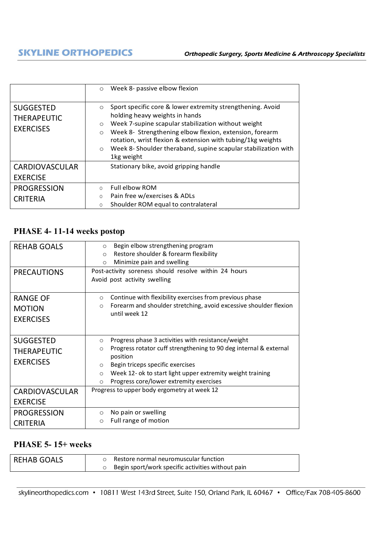|                                                            | Week 8- passive elbow flexion<br>$\circ$                                                                                                                                                                                                                                                                                                                                                                  |
|------------------------------------------------------------|-----------------------------------------------------------------------------------------------------------------------------------------------------------------------------------------------------------------------------------------------------------------------------------------------------------------------------------------------------------------------------------------------------------|
| <b>SUGGESTED</b><br><b>THERAPEUTIC</b><br><b>EXERCISES</b> | Sport specific core & lower extremity strengthening. Avoid<br>$\circ$<br>holding heavy weights in hands<br>Week 7-supine scapular stabilization without weight<br>$\circ$<br>Week 8- Strengthening elbow flexion, extension, forearm<br>$\circ$<br>rotation, wrist flexion & extension with tubing/1kg weights<br>Week 8- Shoulder theraband, supine scapular stabilization with<br>$\circ$<br>1kg weight |
| <b>CARDIOVASCULAR</b>                                      | Stationary bike, avoid gripping handle                                                                                                                                                                                                                                                                                                                                                                    |
| <b>EXERCISE</b>                                            |                                                                                                                                                                                                                                                                                                                                                                                                           |
| <b>PROGRESSION</b>                                         | Full elbow ROM<br>$\Omega$                                                                                                                                                                                                                                                                                                                                                                                |
| <b>CRITERIA</b>                                            | Pain free w/exercises & ADLs<br>$\circ$                                                                                                                                                                                                                                                                                                                                                                   |
|                                                            | Shoulder ROM equal to contralateral<br>O                                                                                                                                                                                                                                                                                                                                                                  |

#### **PHASE 4- 11-14 weeks postop**

| <b>REHAB GOALS</b>    | Begin elbow strengthening program<br>$\circ$                                 |
|-----------------------|------------------------------------------------------------------------------|
|                       | Restore shoulder & forearm flexibility<br>$\Omega$                           |
|                       | Minimize pain and swelling<br>$\circ$                                        |
| <b>PRECAUTIONS</b>    | Post-activity soreness should resolve within 24 hours                        |
|                       | Avoid post activity swelling                                                 |
|                       |                                                                              |
| <b>RANGE OF</b>       | Continue with flexibility exercises from previous phase<br>$\circ$           |
| <b>MOTION</b>         | Forearm and shoulder stretching, avoid excessive shoulder flexion<br>$\circ$ |
|                       | until week 12                                                                |
| <b>EXERCISES</b>      |                                                                              |
|                       |                                                                              |
| <b>SUGGESTED</b>      | Progress phase 3 activities with resistance/weight<br>$\circ$                |
| <b>THERAPEUTIC</b>    | Progress rotator cuff strengthening to 90 deg internal & external<br>$\circ$ |
|                       | position                                                                     |
| <b>EXERCISES</b>      | Begin triceps specific exercises<br>$\circ$                                  |
|                       | Week 12- ok to start light upper extremity weight training<br>$\circ$        |
|                       | Progress core/lower extremity exercises<br>$\circ$                           |
| <b>CARDIOVASCULAR</b> | Progress to upper body ergometry at week 12                                  |
| <b>EXERCISE</b>       |                                                                              |
| <b>PROGRESSION</b>    | No pain or swelling<br>$\circ$                                               |
|                       | Full range of motion<br>$\Omega$                                             |
| <b>CRITERIA</b>       |                                                                              |

#### **PHASE 5- 15+ weeks**

| <b>REHAB GOALS</b> | Restore normal neuromuscular function             |  |
|--------------------|---------------------------------------------------|--|
|                    | Begin sport/work specific activities without pain |  |